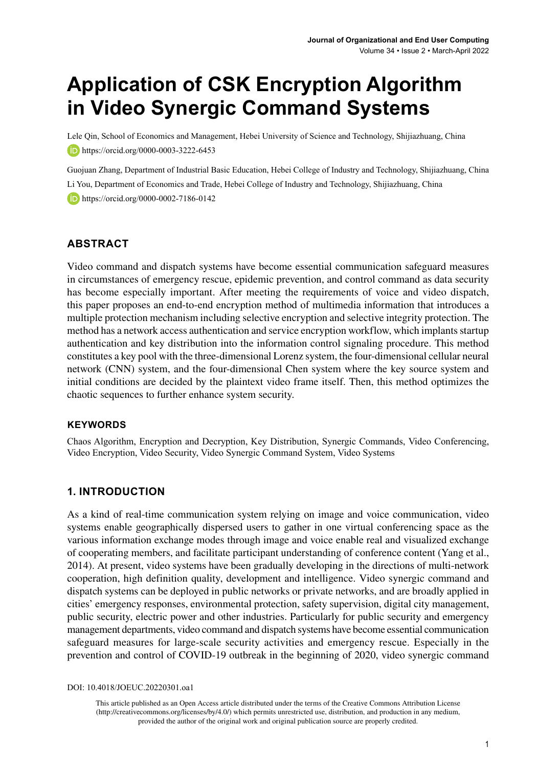# **Application of CSK Encryption Algorithm in Video Synergic Command Systems**

Lele Qin, School of Economics and Management, Hebei University of Science and Technology, Shijiazhuang, China **b** https://orcid.org/0000-0003-3222-6453

Guojuan Zhang, Department of Industrial Basic Education, Hebei College of Industry and Technology, Shijiazhuang, China Li You, Department of Economics and Trade, Hebei College of Industry and Technology, Shijiazhuang, China https://orcid.org/0000-0002-7186-0142

#### **ABSTRACT**

Video command and dispatch systems have become essential communication safeguard measures in circumstances of emergency rescue, epidemic prevention, and control command as data security has become especially important. After meeting the requirements of voice and video dispatch, this paper proposes an end-to-end encryption method of multimedia information that introduces a multiple protection mechanism including selective encryption and selective integrity protection. The method has a network access authentication and service encryption workflow, which implants startup authentication and key distribution into the information control signaling procedure. This method constitutes a key pool with the three-dimensional Lorenz system, the four-dimensional cellular neural network (CNN) system, and the four-dimensional Chen system where the key source system and initial conditions are decided by the plaintext video frame itself. Then, this method optimizes the chaotic sequences to further enhance system security.

#### **Keywords**

Chaos Algorithm, Encryption and Decryption, Key Distribution, Synergic Commands, Video Conferencing, Video Encryption, Video Security, Video Synergic Command System, Video Systems

#### **1. INTRODUCTION**

As a kind of real-time communication system relying on image and voice communication, video systems enable geographically dispersed users to gather in one virtual conferencing space as the various information exchange modes through image and voice enable real and visualized exchange of cooperating members, and facilitate participant understanding of conference content (Yang et al., 2014). At present, video systems have been gradually developing in the directions of multi-network cooperation, high definition quality, development and intelligence. Video synergic command and dispatch systems can be deployed in public networks or private networks, and are broadly applied in cities' emergency responses, environmental protection, safety supervision, digital city management, public security, electric power and other industries. Particularly for public security and emergency management departments, video command and dispatch systems have become essential communication safeguard measures for large-scale security activities and emergency rescue. Especially in the prevention and control of COVID-19 outbreak in the beginning of 2020, video synergic command

DOI: 10.4018/JOEUC.20220301.oa1

This article published as an Open Access article distributed under the terms of the Creative Commons Attribution License (http://creativecommons.org/licenses/by/4.0/) which permits unrestricted use, distribution, and production in any medium, provided the author of the original work and original publication source are properly credited.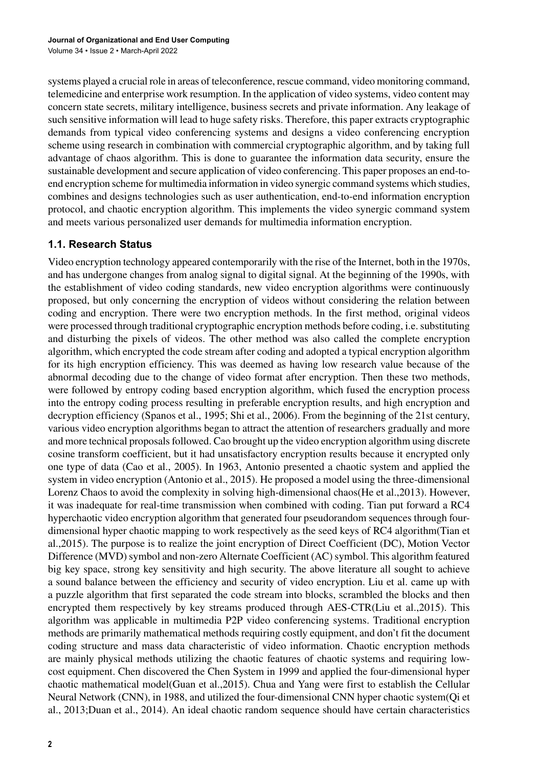systems played a crucial role in areas of teleconference, rescue command, video monitoring command, telemedicine and enterprise work resumption. In the application of video systems, video content may concern state secrets, military intelligence, business secrets and private information. Any leakage of such sensitive information will lead to huge safety risks. Therefore, this paper extracts cryptographic demands from typical video conferencing systems and designs a video conferencing encryption scheme using research in combination with commercial cryptographic algorithm, and by taking full advantage of chaos algorithm. This is done to guarantee the information data security, ensure the sustainable development and secure application of video conferencing. This paper proposes an end-toend encryption scheme for multimedia information in video synergic command systems which studies, combines and designs technologies such as user authentication, end-to-end information encryption protocol, and chaotic encryption algorithm. This implements the video synergic command system and meets various personalized user demands for multimedia information encryption.

#### **1.1. Research Status**

Video encryption technology appeared contemporarily with the rise of the Internet, both in the 1970s, and has undergone changes from analog signal to digital signal. At the beginning of the 1990s, with the establishment of video coding standards, new video encryption algorithms were continuously proposed, but only concerning the encryption of videos without considering the relation between coding and encryption. There were two encryption methods. In the first method, original videos were processed through traditional cryptographic encryption methods before coding, i.e. substituting and disturbing the pixels of videos. The other method was also called the complete encryption algorithm, which encrypted the code stream after coding and adopted a typical encryption algorithm for its high encryption efficiency. This was deemed as having low research value because of the abnormal decoding due to the change of video format after encryption. Then these two methods, were followed by entropy coding based encryption algorithm, which fused the encryption process into the entropy coding process resulting in preferable encryption results, and high encryption and decryption efficiency (Spanos et al., 1995; Shi et al., 2006). From the beginning of the 21st century, various video encryption algorithms began to attract the attention of researchers gradually and more and more technical proposals followed. Cao brought up the video encryption algorithm using discrete cosine transform coefficient, but it had unsatisfactory encryption results because it encrypted only one type of data (Cao et al., 2005). In 1963, Antonio presented a chaotic system and applied the system in video encryption (Antonio et al., 2015). He proposed a model using the three-dimensional Lorenz Chaos to avoid the complexity in solving high-dimensional chaos(He et al.,2013). However, it was inadequate for real-time transmission when combined with coding. Tian put forward a RC4 hyperchaotic video encryption algorithm that generated four pseudorandom sequences through fourdimensional hyper chaotic mapping to work respectively as the seed keys of RC4 algorithm(Tian et al.,2015). The purpose is to realize the joint encryption of Direct Coefficient (DC), Motion Vector Difference (MVD) symbol and non-zero Alternate Coefficient (AC) symbol. This algorithm featured big key space, strong key sensitivity and high security. The above literature all sought to achieve a sound balance between the efficiency and security of video encryption. Liu et al. came up with a puzzle algorithm that first separated the code stream into blocks, scrambled the blocks and then encrypted them respectively by key streams produced through AES-CTR(Liu et al.,2015). This algorithm was applicable in multimedia P2P video conferencing systems. Traditional encryption methods are primarily mathematical methods requiring costly equipment, and don't fit the document coding structure and mass data characteristic of video information. Chaotic encryption methods are mainly physical methods utilizing the chaotic features of chaotic systems and requiring lowcost equipment. Chen discovered the Chen System in 1999 and applied the four-dimensional hyper chaotic mathematical model(Guan et al.,2015). Chua and Yang were first to establish the Cellular Neural Network (CNN), in 1988, and utilized the four-dimensional CNN hyper chaotic system(Qi et al., 2013;Duan et al., 2014). An ideal chaotic random sequence should have certain characteristics